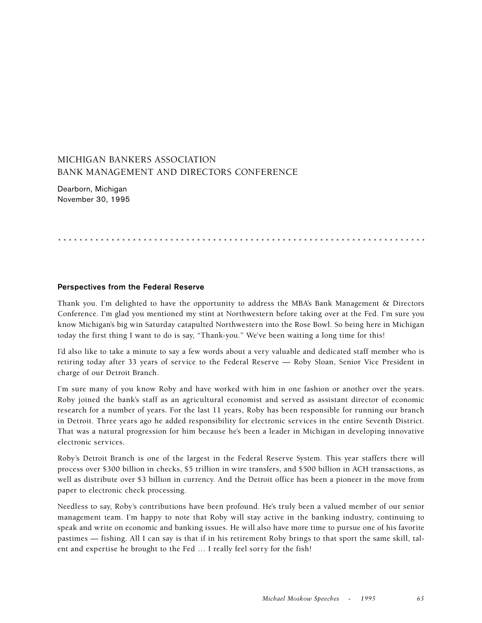## MICHIGAN BANKERS ASSOCIATION BANK MANAGEMENT AND DIRECTORS CONFERENCE

Dearborn, Michigan November 30, 1995

.....................................................................

## **Perspectives from the Federal Reserve**

Thank you. I'm delighted to have the opportunity to address the MBA's Bank Management & Directors Conference. I'm glad you mentioned my stint at Northwestern before taking over at the Fed. I'm sure you know Michigan's big win Saturday catapulted Northwestern into the Rose Bowl. So being here in Michigan today the first thing I want to do is say, "Thank-you." We've been waiting a long time for this!

I'd also like to take a minute to say a few words about a very valuable and dedicated staff member who is retiring today after 33 years of service to the Federal Reserve — Roby Sloan, Senior Vice President in charge of our Detroit Branch.

I'm sure many of you know Roby and have worked with him in one fashion or another over the years. Roby joined the bank's staff as an agricultural economist and served as assistant director of economic research for a number of years. For the last 11 years, Roby has been responsible for running our branch in Detroit. Three years ago he added responsibility for electronic services in the entire Seventh District. That was a natural progression for him because he's been a leader in Michigan in developing innovative electronic services.

Roby's Detroit Branch is one of the largest in the Federal Reserve System. This year staffers there will process over \$300 billion in checks, \$5 trillion in wire transfers, and \$500 billion in ACH transactions, as well as distribute over \$3 billion in currency. And the Detroit office has been a pioneer in the move from paper to electronic check processing.

Needless to say, Roby's contributions have been profound. He's truly been a valued member of our senior management team. I'm happy to note that Roby will stay active in the banking industry, continuing to speak and write on economic and banking issues. He will also have more time to pursue one of his favorite pastimes — fishing. All I can say is that if in his retirement Roby brings to that sport the same skill, talent and expertise he brought to the Fed … I really feel sorry for the fish!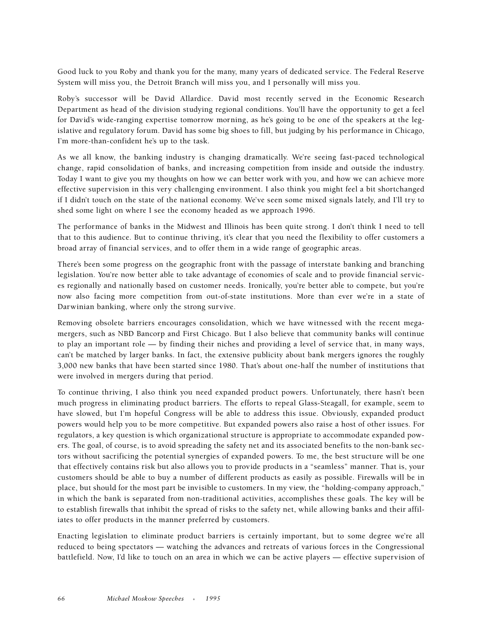Good luck to you Roby and thank you for the many, many years of dedicated service. The Federal Reserve System will miss you, the Detroit Branch will miss you, and I personally will miss you.

Roby's successor will be David Allardice. David most recently served in the Economic Research Department as head of the division studying regional conditions. You'll have the opportunity to get a feel for David's wide-ranging expertise tomorrow morning, as he's going to be one of the speakers at the legislative and regulatory forum. David has some big shoes to fill, but judging by his performance in Chicago, I'm more-than-confident he's up to the task.

As we all know, the banking industry is changing dramatically. We're seeing fast-paced technological change, rapid consolidation of banks, and increasing competition from inside and outside the industry. Today I want to give you my thoughts on how we can better work with you, and how we can achieve more effective supervision in this very challenging environment. I also think you might feel a bit shortchanged if I didn't touch on the state of the national economy. We've seen some mixed signals lately, and I'll try to shed some light on where I see the economy headed as we approach 1996.

The performance of banks in the Midwest and Illinois has been quite strong. I don't think I need to tell that to this audience. But to continue thriving, it's clear that you need the flexibility to offer customers a broad array of financial services, and to offer them in a wide range of geographic areas.

There's been some progress on the geographic front with the passage of interstate banking and branching legislation. You're now better able to take advantage of economies of scale and to provide financial services regionally and nationally based on customer needs. Ironically, you're better able to compete, but you're now also facing more competition from out-of-state institutions. More than ever we're in a state of Darwinian banking, where only the strong survive.

Removing obsolete barriers encourages consolidation, which we have witnessed with the recent megamergers, such as NBD Bancorp and First Chicago. But I also believe that community banks will continue to play an important role — by finding their niches and providing a level of service that, in many ways, can't be matched by larger banks. In fact, the extensive publicity about bank mergers ignores the roughly 3,000 new banks that have been started since 1980. That's about one-half the number of institutions that were involved in mergers during that period.

To continue thriving, I also think you need expanded product powers. Unfortunately, there hasn't been much progress in eliminating product barriers. The efforts to repeal Glass-Steagall, for example, seem to have slowed, but I'm hopeful Congress will be able to address this issue. Obviously, expanded product powers would help you to be more competitive. But expanded powers also raise a host of other issues. For regulators, a key question is which organizational structure is appropriate to accommodate expanded powers. The goal, of course, is to avoid spreading the safety net and its associated benefits to the non-bank sectors without sacrificing the potential synergies of expanded powers. To me, the best structure will be one that effectively contains risk but also allows you to provide products in a "seamless" manner. That is, your customers should be able to buy a number of different products as easily as possible. Firewalls will be in place, but should for the most part be invisible to customers. In my view, the "holding-company approach," in which the bank is separated from non-traditional activities, accomplishes these goals. The key will be to establish firewalls that inhibit the spread of risks to the safety net, while allowing banks and their affiliates to offer products in the manner preferred by customers.

Enacting legislation to eliminate product barriers is certainly important, but to some degree we're all reduced to being spectators — watching the advances and retreats of various forces in the Congressional battlefield. Now, I'd like to touch on an area in which we can be active players — effective supervision of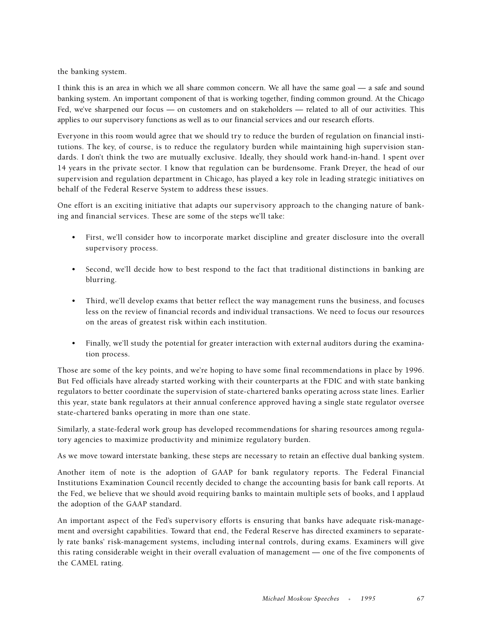the banking system.

I think this is an area in which we all share common concern. We all have the same goal — a safe and sound banking system. An important component of that is working together, finding common ground. At the Chicago Fed, we've sharpened our focus — on customers and on stakeholders — related to all of our activities. This applies to our supervisory functions as well as to our financial services and our research efforts.

Everyone in this room would agree that we should try to reduce the burden of regulation on financial institutions. The key, of course, is to reduce the regulatory burden while maintaining high supervision standards. I don't think the two are mutually exclusive. Ideally, they should work hand-in-hand. I spent over 14 years in the private sector. I know that regulation can be burdensome. Frank Dreyer, the head of our supervision and regulation department in Chicago, has played a key role in leading strategic initiatives on behalf of the Federal Reserve System to address these issues.

One effort is an exciting initiative that adapts our supervisory approach to the changing nature of banking and financial services. These are some of the steps we'll take:

- First, we'll consider how to incorporate market discipline and greater disclosure into the overall supervisory process.
- Second, we'll decide how to best respond to the fact that traditional distinctions in banking are blurring.
- Third, we'll develop exams that better reflect the way management runs the business, and focuses less on the review of financial records and individual transactions. We need to focus our resources on the areas of greatest risk within each institution.
- Finally, we'll study the potential for greater interaction with external auditors during the examination process.

Those are some of the key points, and we're hoping to have some final recommendations in place by 1996. But Fed officials have already started working with their counterparts at the FDIC and with state banking regulators to better coordinate the supervision of state-chartered banks operating across state lines. Earlier this year, state bank regulators at their annual conference approved having a single state regulator oversee state-chartered banks operating in more than one state.

Similarly, a state-federal work group has developed recommendations for sharing resources among regulatory agencies to maximize productivity and minimize regulatory burden.

As we move toward interstate banking, these steps are necessary to retain an effective dual banking system.

Another item of note is the adoption of GAAP for bank regulatory reports. The Federal Financial Institutions Examination Council recently decided to change the accounting basis for bank call reports. At the Fed, we believe that we should avoid requiring banks to maintain multiple sets of books, and I applaud the adoption of the GAAP standard.

An important aspect of the Fed's supervisory efforts is ensuring that banks have adequate risk-management and oversight capabilities. Toward that end, the Federal Reserve has directed examiners to separately rate banks' risk-management systems, including internal controls, during exams. Examiners will give this rating considerable weight in their overall evaluation of management — one of the five components of the CAMEL rating.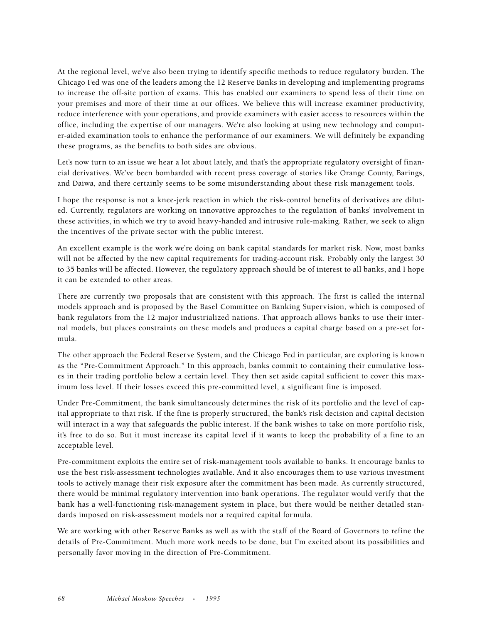At the regional level, we've also been trying to identify specific methods to reduce regulatory burden. The Chicago Fed was one of the leaders among the 12 Reserve Banks in developing and implementing programs to increase the off-site portion of exams. This has enabled our examiners to spend less of their time on your premises and more of their time at our offices. We believe this will increase examiner productivity, reduce interference with your operations, and provide examiners with easier access to resources within the office, including the expertise of our managers. We're also looking at using new technology and computer-aided examination tools to enhance the performance of our examiners. We will definitely be expanding these programs, as the benefits to both sides are obvious.

Let's now turn to an issue we hear a lot about lately, and that's the appropriate regulatory oversight of financial derivatives. We've been bombarded with recent press coverage of stories like Orange County, Barings, and Daiwa, and there certainly seems to be some misunderstanding about these risk management tools.

I hope the response is not a knee-jerk reaction in which the risk-control benefits of derivatives are diluted. Currently, regulators are working on innovative approaches to the regulation of banks' involvement in these activities, in which we try to avoid heavy-handed and intrusive rule-making. Rather, we seek to align the incentives of the private sector with the public interest.

An excellent example is the work we're doing on bank capital standards for market risk. Now, most banks will not be affected by the new capital requirements for trading-account risk. Probably only the largest 30 to 35 banks will be affected. However, the regulatory approach should be of interest to all banks, and I hope it can be extended to other areas.

There are currently two proposals that are consistent with this approach. The first is called the internal models approach and is proposed by the Basel Committee on Banking Supervision, which is composed of bank regulators from the 12 major industrialized nations. That approach allows banks to use their internal models, but places constraints on these models and produces a capital charge based on a pre-set formula.

The other approach the Federal Reserve System, and the Chicago Fed in particular, are exploring is known as the "Pre-Commitment Approach." In this approach, banks commit to containing their cumulative losses in their trading portfolio below a certain level. They then set aside capital sufficient to cover this maximum loss level. If their losses exceed this pre-committed level, a significant fine is imposed.

Under Pre-Commitment, the bank simultaneously determines the risk of its portfolio and the level of capital appropriate to that risk. If the fine is properly structured, the bank's risk decision and capital decision will interact in a way that safeguards the public interest. If the bank wishes to take on more portfolio risk, it's free to do so. But it must increase its capital level if it wants to keep the probability of a fine to an acceptable level.

Pre-commitment exploits the entire set of risk-management tools available to banks. It encourage banks to use the best risk-assessment technologies available. And it also encourages them to use various investment tools to actively manage their risk exposure after the commitment has been made. As currently structured, there would be minimal regulatory intervention into bank operations. The regulator would verify that the bank has a well-functioning risk-management system in place, but there would be neither detailed standards imposed on risk-assessment models nor a required capital formula.

We are working with other Reserve Banks as well as with the staff of the Board of Governors to refine the details of Pre-Commitment. Much more work needs to be done, but I'm excited about its possibilities and personally favor moving in the direction of Pre-Commitment.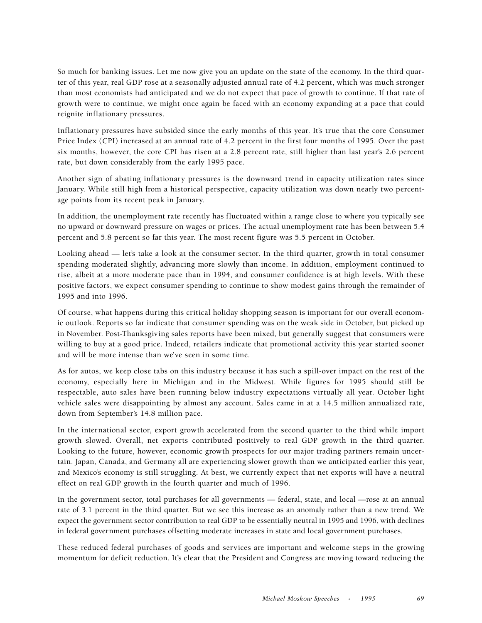So much for banking issues. Let me now give you an update on the state of the economy. In the third quarter of this year, real GDP rose at a seasonally adjusted annual rate of 4.2 percent, which was much stronger than most economists had anticipated and we do not expect that pace of growth to continue. If that rate of growth were to continue, we might once again be faced with an economy expanding at a pace that could reignite inflationary pressures.

Inflationary pressures have subsided since the early months of this year. It's true that the core Consumer Price Index (CPI) increased at an annual rate of 4.2 percent in the first four months of 1995. Over the past six months, however, the core CPI has risen at a 2.8 percent rate, still higher than last year's 2.6 percent rate, but down considerably from the early 1995 pace.

Another sign of abating inflationary pressures is the downward trend in capacity utilization rates since January. While still high from a historical perspective, capacity utilization was down nearly two percentage points from its recent peak in January.

In addition, the unemployment rate recently has fluctuated within a range close to where you typically see no upward or downward pressure on wages or prices. The actual unemployment rate has been between 5.4 percent and 5.8 percent so far this year. The most recent figure was 5.5 percent in October.

Looking ahead — let's take a look at the consumer sector. In the third quarter, growth in total consumer spending moderated slightly, advancing more slowly than income. In addition, employment continued to rise, albeit at a more moderate pace than in 1994, and consumer confidence is at high levels. With these positive factors, we expect consumer spending to continue to show modest gains through the remainder of 1995 and into 1996.

Of course, what happens during this critical holiday shopping season is important for our overall economic outlook. Reports so far indicate that consumer spending was on the weak side in October, but picked up in November. Post-Thanksgiving sales reports have been mixed, but generally suggest that consumers were willing to buy at a good price. Indeed, retailers indicate that promotional activity this year started sooner and will be more intense than we've seen in some time.

As for autos, we keep close tabs on this industry because it has such a spill-over impact on the rest of the economy, especially here in Michigan and in the Midwest. While figures for 1995 should still be respectable, auto sales have been running below industry expectations virtually all year. October light vehicle sales were disappointing by almost any account. Sales came in at a 14.5 million annualized rate, down from September's 14.8 million pace.

In the international sector, export growth accelerated from the second quarter to the third while import growth slowed. Overall, net exports contributed positively to real GDP growth in the third quarter. Looking to the future, however, economic growth prospects for our major trading partners remain uncertain. Japan, Canada, and Germany all are experiencing slower growth than we anticipated earlier this year, and Mexico's economy is still struggling. At best, we currently expect that net exports will have a neutral effect on real GDP growth in the fourth quarter and much of 1996.

In the government sector, total purchases for all governments — federal, state, and local —rose at an annual rate of 3.1 percent in the third quarter. But we see this increase as an anomaly rather than a new trend. We expect the government sector contribution to real GDP to be essentially neutral in 1995 and 1996, with declines in federal government purchases offsetting moderate increases in state and local government purchases.

These reduced federal purchases of goods and services are important and welcome steps in the growing momentum for deficit reduction. It's clear that the President and Congress are moving toward reducing the